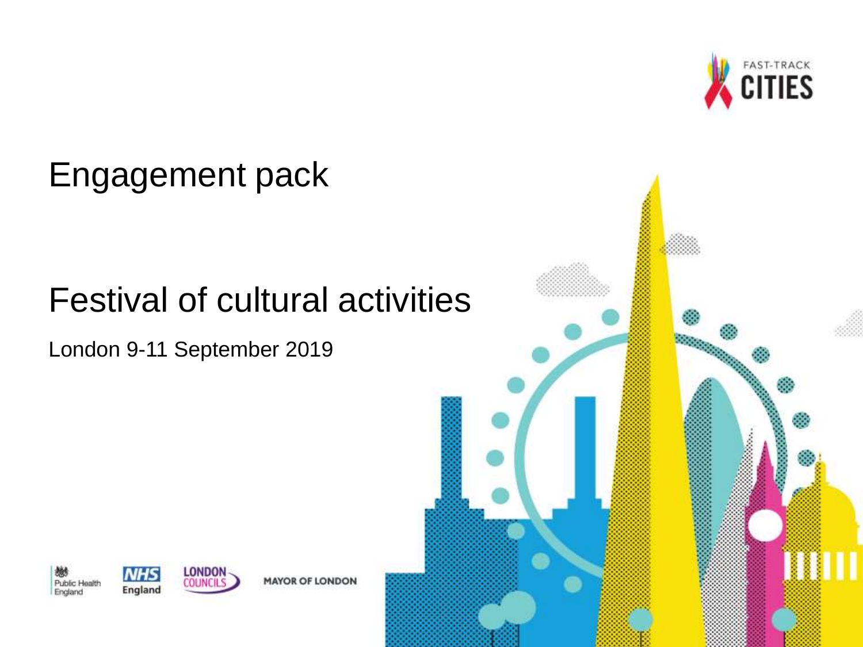

# Festival of cultural activities

London 9-11 September 2019









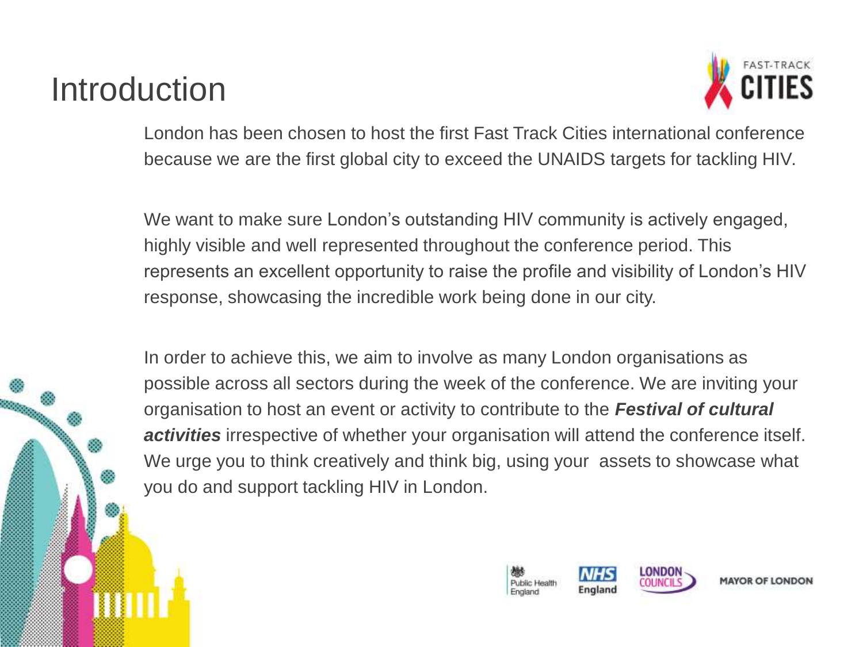# Introduction



London has been chosen to host the first Fast Track Cities international conference because we are the first global city to exceed the UNAIDS targets for tackling HIV.

We want to make sure London's outstanding HIV community is actively engaged, highly visible and well represented throughout the conference period. This represents an excellent opportunity to raise the profile and visibility of London's HIV response, showcasing the incredible work being done in our city.

In order to achieve this, we aim to involve as many London organisations as possible across all sectors during the week of the conference. We are inviting your organisation to host an event or activity to contribute to the *Festival of cultural activities* irrespective of whether your organisation will attend the conference itself. We urge you to think creatively and think big, using your assets to showcase what you do and support tackling HIV in London.

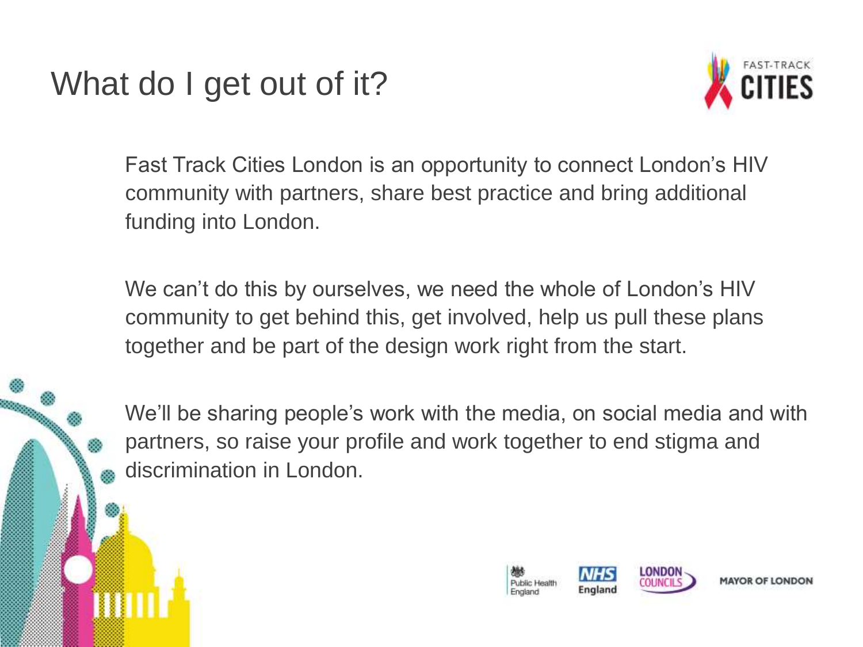# What do I get out of it?



Fast Track Cities London is an opportunity to connect London's HIV community with partners, share best practice and bring additional funding into London.

We can't do this by ourselves, we need the whole of London's HIV community to get behind this, get involved, help us pull these plans together and be part of the design work right from the start.

We'll be sharing people's work with the media, on social media and with partners, so raise your profile and work together to end stigma and discrimination in London.

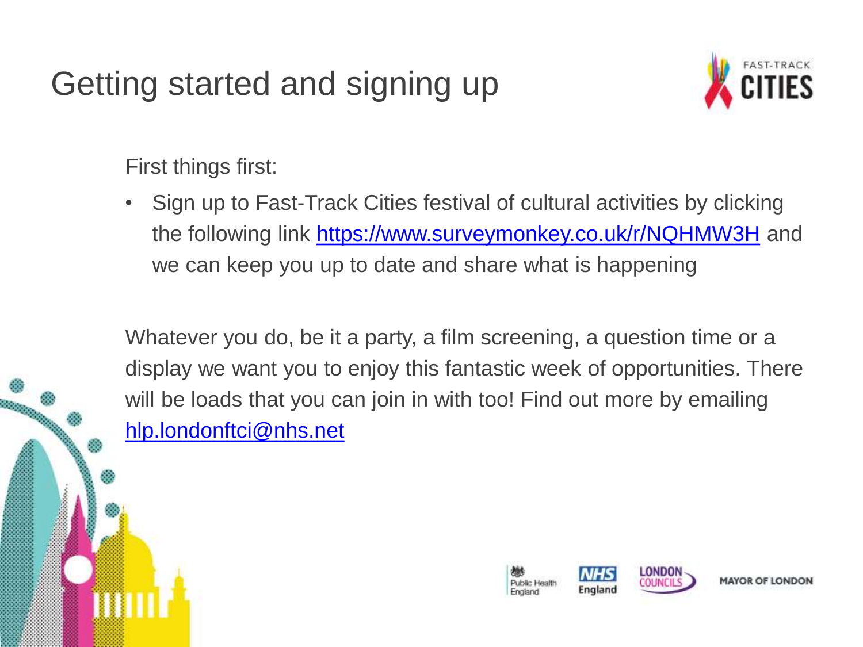# Getting started and signing up



First things first:

• Sign up to Fast-Track Cities festival of cultural activities by clicking the following link <https://www.surveymonkey.co.uk/r/NQHMW3H> and we can keep you up to date and share what is happening

Whatever you do, be it a party, a film screening, a question time or a display we want you to enjoy this fantastic week of opportunities. There will be loads that you can join in with too! Find out more by emailing [hlp.londonftci@nhs.net](mailto:hlp.londonftci@nhs.net)

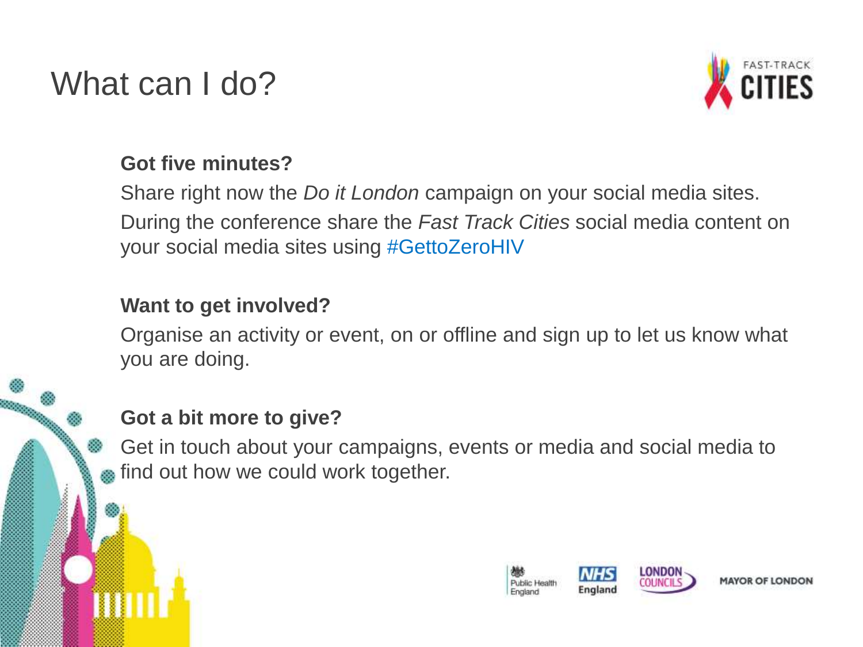# What can I do?



#### **Got five minutes?**

Share right now the *Do it London* campaign on your social media sites. During the conference share the *Fast Track Cities* social media content on your social media sites using #GettoZeroHIV

#### **Want to get involved?**

Organise an activity or event, on or offline and sign up to let us know what you are doing.

### **Got a bit more to give?**

Get in touch about your campaigns, events or media and social media to find out how we could work together.

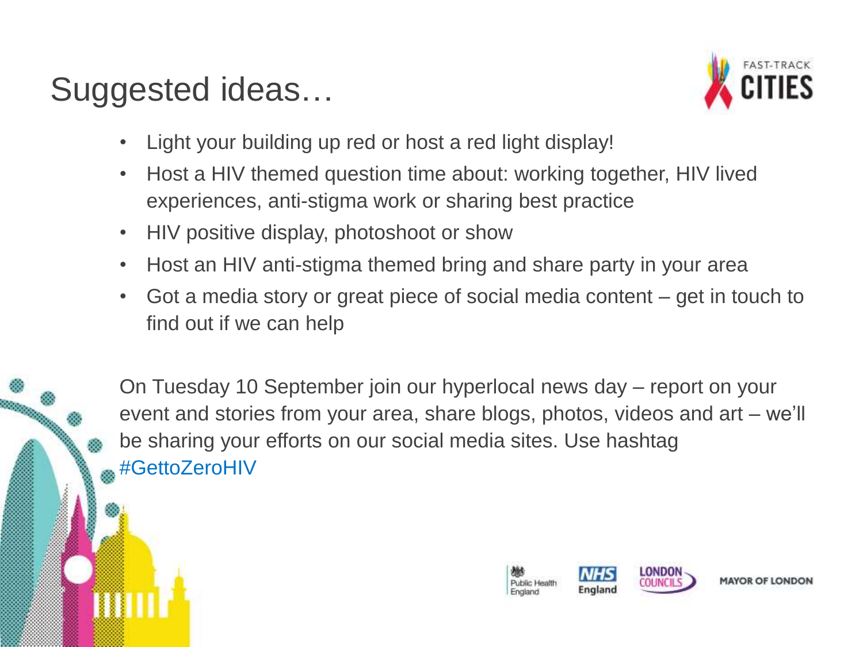# Suggested ideas…



- Light your building up red or host a red light display!
- Host a HIV themed question time about: working together, HIV lived experiences, anti-stigma work or sharing best practice
- HIV positive display, photoshoot or show
- Host an HIV anti-stigma themed bring and share party in your area
- Got a media story or great piece of social media content get in touch to find out if we can help

On Tuesday 10 September join our hyperlocal news day – report on your event and stories from your area, share blogs, photos, videos and art – we'll be sharing your efforts on our social media sites. Use hashtag #GettoZeroHIV

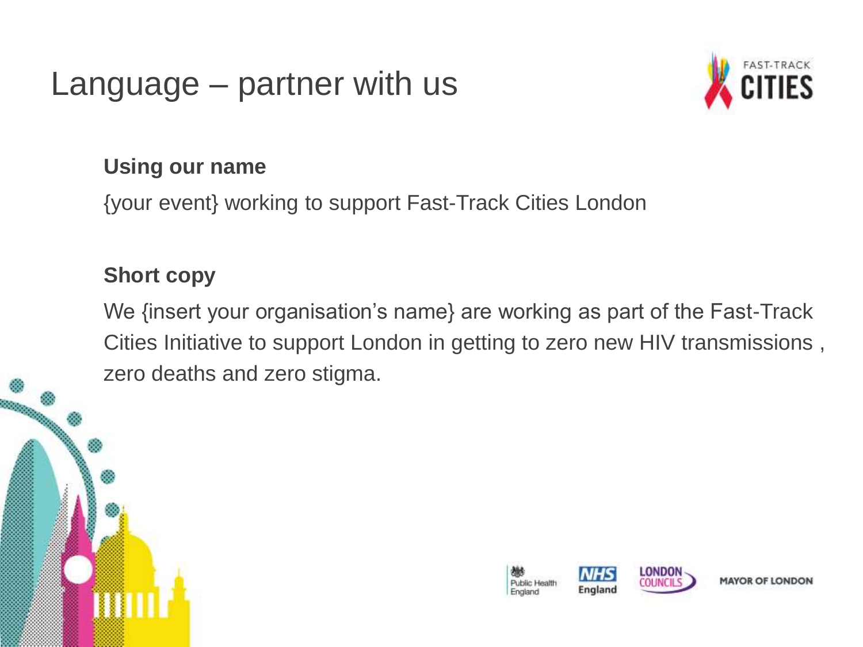### Language – partner with us



#### **Using our name**

{your event} working to support Fast-Track Cities London

### **Short copy**

We {insert your organisation's name} are working as part of the Fast-Track Cities Initiative to support London in getting to zero new HIV transmissions , zero deaths and zero stigma.



**MAYOR OF LONDON**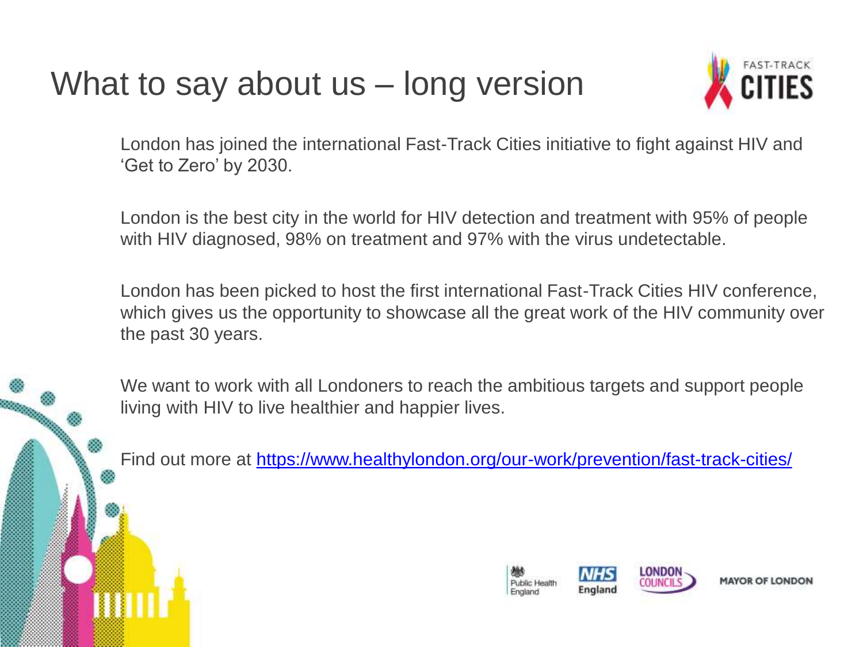# What to say about us – long version



London has joined the international Fast-Track Cities initiative to fight against HIV and 'Get to Zero' by 2030.

London is the best city in the world for HIV detection and treatment with 95% of people with HIV diagnosed, 98% on treatment and 97% with the virus undetectable.

London has been picked to host the first international Fast-Track Cities HIV conference, which gives us the opportunity to showcase all the great work of the HIV community over the past 30 years.

We want to work with all Londoners to reach the ambitious targets and support people living with HIV to live healthier and happier lives.

Find out more at <https://www.healthylondon.org/our-work/prevention/fast-track-cities/>

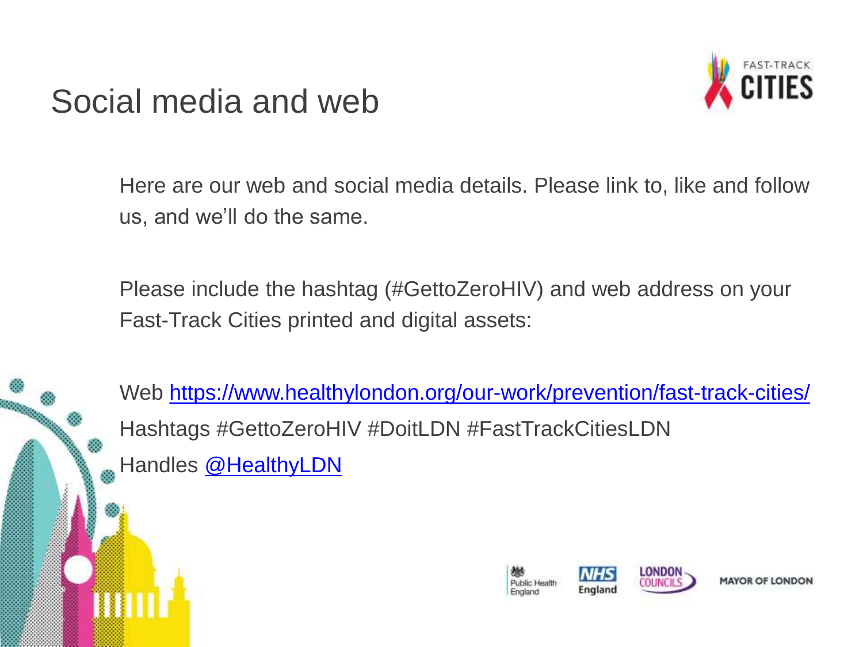### Social media and web



Here are our web and social media details. Please link to, like and follow us, and we'll do the same.

Please include the hashtag (#GettoZeroHIV) and web address on your Fast-Track Cities printed and digital assets:

Web <https://www.healthylondon.org/our-work/prevention/fast-track-cities/> Hashtags #GettoZeroHIV #DoitLDN #FastTrackCitiesLDN Handles [@HealthyLDN](https://twitter.com/HealthyLDN)